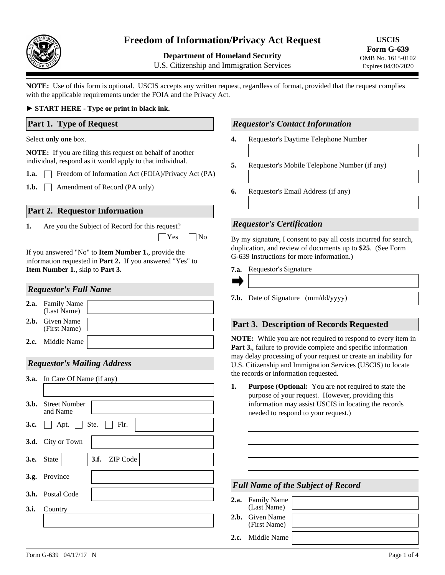

# **Freedom of Information/Privacy Act Request**

**Department of Homeland Security** 

U.S. Citizenship and Immigration Services

**USCIS Form G-639**  OMB No. 1615-0102 Expires 04/30/2020

**NOTE:** Use of this form is optional. USCIS accepts any written request, regardless of format, provided that the request complies with the applicable requirements under the FOIA and the Privacy Act.

## ► **START HERE - Type or print in black ink.**

**Part 1. Type of Request**

#### Select **only one** box.

**NOTE:** If you are filing this request on behalf of another individual, respond as it would apply to that individual.

**1.a.** Freedom of Information Act (FOIA)/Privacy Act (PA)

1.b. **Amendment of Record (PA only)** 

## **Part 2. Requestor Information**

Are you the Subject of Record for this request? **1.**

 $\Box$ Yes  $\Box$ No

If you answered "No" to **Item Number 1.**, provide the information requested in **Part 2.** If you answered "Yes" to **Item Number 1.**, skip to **Part 3.**

### *Requestor's Full Name*

| 2.a. | <b>Family Name</b><br>(Last Name)      |  |
|------|----------------------------------------|--|
|      | <b>2.b.</b> Given Name<br>(First Name) |  |
|      | <b>2.c.</b> Middle Name                |  |

# *Requestor's Mailing Address*

|      | <b>3.a.</b> In Care Of Name (if any)              |
|------|---------------------------------------------------|
|      |                                                   |
|      | <b>3.b.</b> Street Number<br>and Name             |
| 3.c. | $\Box$ Apt. $\Box$ Ste. $\Box$ Flr.               |
|      | 3.d. City or Town                                 |
|      | $\blacktriangleright$ 3.f. ZIP Code<br>3.e. State |
|      | 3.g. Province                                     |
|      | <b>3.h.</b> Postal Code                           |
|      | 3.i. Country                                      |
|      |                                                   |
|      |                                                   |

## *Requestor's Contact Information*

- **4.** Requestor's Daytime Telephone Number
- **5.** Requestor's Mobile Telephone Number (if any)
- **6.** Requestor's Email Address (if any)

## *Requestor's Certification*

By my signature, I consent to pay all costs incurred for search, duplication, and review of documents up to **\$25**. (See Form G-639 Instructions for more information.)

7.a. Requestor's Signature

| <b>7.b.</b> Date of Signature (mm/dd/yyyy) |  |
|--------------------------------------------|--|

## **Part 3. Description of Records Requested**

**NOTE:** While you are not required to respond to every item in Part 3., failure to provide complete and specific information may delay processing of your request or create an inability for U.S. Citizenship and Immigration Services (USCIS) to locate the records or information requested.

**1. Purpose** (**Optional:** You are not required to state the purpose of your request. However, providing this information may assist USCIS in locating the records needed to respond to your request.)

## *Full Name of the Subject of Record*

| 2.a. Family Name<br>(Last Name) |  |
|---------------------------------|--|
| 2.b. Given Name<br>(First Name) |  |
| <b>2.c.</b> Middle Name         |  |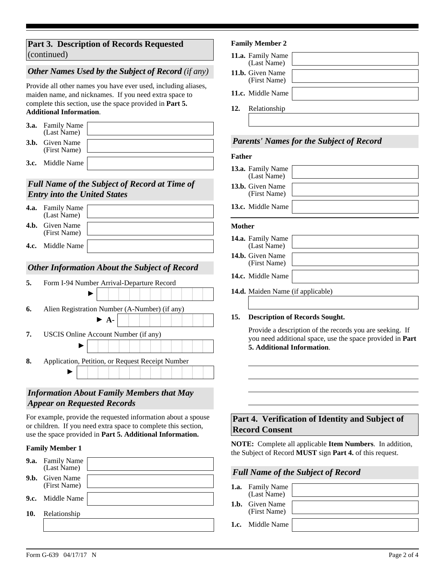# **Part 3. Description of Records Requested**  (continued)

# *Other Names Used by the Subject of Record (if any)*

Provide all other names you have ever used, including aliases, maiden name, and nicknames. If you need extra space to complete this section, use the space provided in **Part 5. Additional Information**.

| <b>3.a.</b> Family Name<br>(Last Name) |  |
|----------------------------------------|--|
| <b>3.b.</b> Given Name<br>(First Name) |  |
| <b>3.c.</b> Middle Name                |  |

# *Full Name of the Subject of Record at Time of Entry into the United States*

| <b>4.a.</b> Family Name<br>(Last Name) |  |
|----------------------------------------|--|
| <b>4.b.</b> Given Name<br>(First Name) |  |
| <b>4.c.</b> Middle Name                |  |

# *Other Information About the Subject of Record*

| 5. | Form I-94 Number Arrival-Departure Record        |  |  |
|----|--------------------------------------------------|--|--|
|    |                                                  |  |  |
| 6. | Alien Registration Number (A-Number) (if any)    |  |  |
|    | $\blacktriangleright$ A-                         |  |  |
| 7. | USCIS Online Account Number (if any)             |  |  |
|    |                                                  |  |  |
| 8. | Application, Petition, or Request Receipt Number |  |  |
|    |                                                  |  |  |
|    |                                                  |  |  |

# *Information About Family Members that May Appear on Requested Records*

For example, provide the requested information about a spouse or children. If you need extra space to complete this section, use the space provided in **Part 5. Additional Information.**

#### **Family Member 1**

|     | <b>9.a.</b> Family Name<br>(Last Name) |
|-----|----------------------------------------|
|     | 9.b. Given Name<br>(First Name)        |
|     | <b>9.c.</b> Middle Name                |
| 10. | Relationship                           |
|     |                                        |

### **Family Member 2**

|     | 11.a. Family Name<br>(Last Name) |  |
|-----|----------------------------------|--|
|     | 11.b. Given Name<br>(First Name) |  |
|     | 11.c. Middle Name                |  |
| 12. | Relationship                     |  |
|     |                                  |  |

## *Parents' Names for the Subject of Record*

#### **Father**

| 13.a. Family Name<br>(Last Name)        |  |
|-----------------------------------------|--|
| <b>13.b.</b> Given Name<br>(First Name) |  |
| 13.c. Middle Name                       |  |

#### **Mother**

| 14.a. Family Name<br>(Last Name)        |  |
|-----------------------------------------|--|
| <b>14.b.</b> Given Name<br>(First Name) |  |
| 14.c. Middle Name                       |  |

**14.d.** Maiden Name (if applicable)

#### **15. Description of Records Sought.**

Provide a description of the records you are seeking. If you need additional space, use the space provided in **Part 5. Additional Information**.

# **Part 4. Verification of Identity and Subject of Record Consent**

**NOTE:** Complete all applicable **Item Numbers**. In addition, the Subject of Record **MUST** sign **Part 4.** of this request.

#### *Full Name of the Subject of Record*

**1.a.** Family Name (Last Name)

**1.b.**  Given Name (First Name)

**1.c.** Middle Name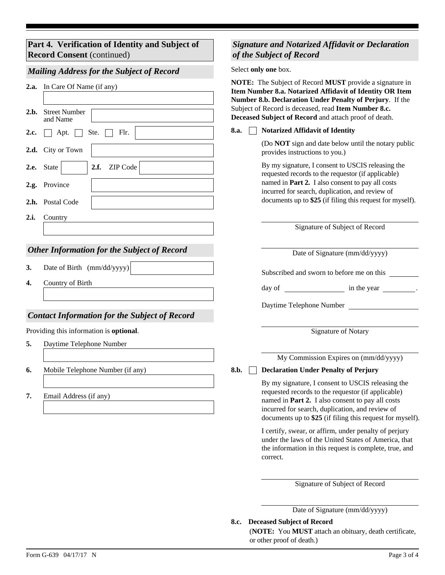# **Part 4. Verification of Identity and Subject of Record Consent** (continued)

# *Mailing Address for the Subject of Record*

| 2.b. | 2.a. In Care Of Name (if any)<br><b>Street Number</b><br>and Name                               | NOTE: The Subject of Record MUST provide a signature in<br>Item Number 8.a. Notarized Affidavit of Identity OR Item<br>Number 8.b. Declaration Under Penalty of Perjury. If the<br>Subject of Record is deceased, read Item Number 8.c.<br>Deceased Subject of Record and attach proof of death. |  |
|------|-------------------------------------------------------------------------------------------------|--------------------------------------------------------------------------------------------------------------------------------------------------------------------------------------------------------------------------------------------------------------------------------------------------|--|
| 2.c. | Ste.<br>Apt.<br>Flr.                                                                            | <b>Notarized Affidavit of Identity</b><br>8.a.                                                                                                                                                                                                                                                   |  |
| 2.d. | City or Town                                                                                    | (Do NOT sign and date below until the notary public<br>provides instructions to you.)                                                                                                                                                                                                            |  |
| 2.e. | ZIP Code<br>2.f.<br>State<br>$\blacktriangledown$                                               | By my signature, I consent to USCIS releasing the<br>requested records to the requestor (if applicable)                                                                                                                                                                                          |  |
| 2.g. | Province<br>2.h. Postal Code                                                                    | named in Part 2. I also consent to pay all costs<br>incurred for search, duplication, and review of<br>documents up to \$25 (if filing this request for myself).                                                                                                                                 |  |
| 2.i. | Country                                                                                         |                                                                                                                                                                                                                                                                                                  |  |
|      |                                                                                                 | Signature of Subject of Record                                                                                                                                                                                                                                                                   |  |
|      | <b>Other Information for the Subject of Record</b>                                              | Date of Signature (mm/dd/yyyy)                                                                                                                                                                                                                                                                   |  |
| 3.   | Date of Birth (mm/dd/yyyy)                                                                      | Subscribed and sworn to before me on this                                                                                                                                                                                                                                                        |  |
| 4.   | Country of Birth                                                                                | day of $\qquad \qquad$ in the year $\qquad \qquad$ .                                                                                                                                                                                                                                             |  |
|      |                                                                                                 | Daytime Telephone Number                                                                                                                                                                                                                                                                         |  |
|      | <b>Contact Information for the Subject of Record</b><br>Providing this information is optional. | <b>Signature of Notary</b>                                                                                                                                                                                                                                                                       |  |
| 5.   | Daytime Telephone Number                                                                        |                                                                                                                                                                                                                                                                                                  |  |
|      |                                                                                                 | My Commission Expires on (mm/dd/yyyy)                                                                                                                                                                                                                                                            |  |
| 6.   | Mobile Telephone Number (if any)                                                                | 8.b.<br><b>Declaration Under Penalty of Perjury</b>                                                                                                                                                                                                                                              |  |
|      |                                                                                                 | By my signature, I consent to USCIS releasing the                                                                                                                                                                                                                                                |  |
| 7.   | Email Address (if any)                                                                          | requested records to the requestor (if applicable)<br>named in Part 2. I also consent to pay all costs<br>incurred for search, duplication, and review of<br>documents up to \$25 (if filing this request for myself).                                                                           |  |
|      |                                                                                                 | I certify, swear, or affirm, under penalty of perjury<br>under the laws of the United States of America, that<br>the information in this request is complete, true, and                                                                                                                          |  |

Signature of Subject of Record

*Signature and Notarized Affidavit or Declaration* 

*of the Subject of Record*

Select **only one** box.

Date of Signature (mm/dd/yyyy)

**Deceased Subject of Record 8.c.**

correct.

(**NOTE:** You **MUST** attach an obituary, death certificate, or other proof of death.)